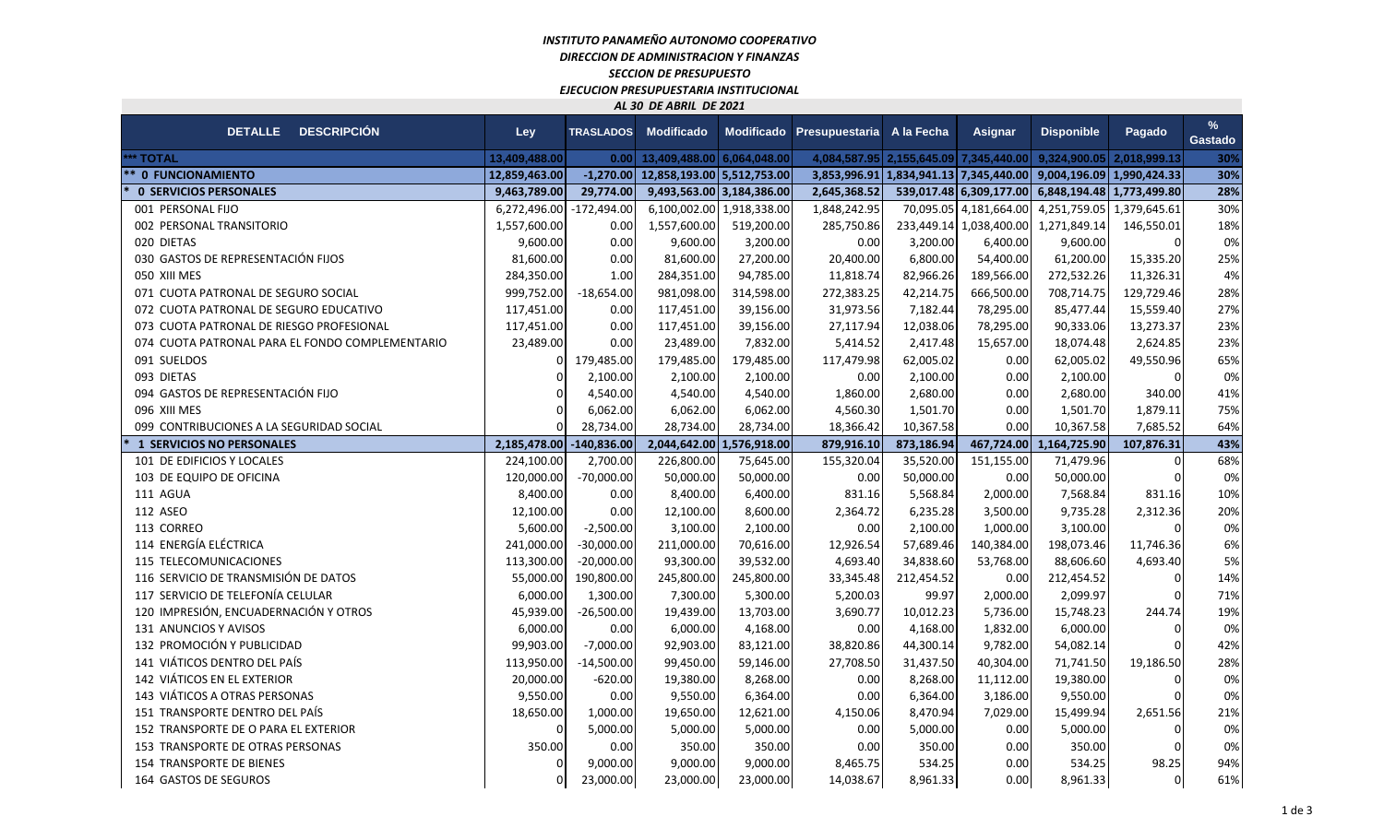## *INSTITUTO PANAMEÑO AUTONOMO COOPERATIVO DIRECCION DE ADMINISTRACION Y FINANZAS SECCION DE PRESUPUESTO EJECUCION PRESUPUESTARIA INSTITUCIONAL AL 30 DE ABRIL DE 2021*

**Contract** 

| AL JU DL ADNIL DL 2021                          |               |                  |                            |                           |                                        |            |                                        |                                      |              |                        |
|-------------------------------------------------|---------------|------------------|----------------------------|---------------------------|----------------------------------------|------------|----------------------------------------|--------------------------------------|--------------|------------------------|
| DETALLE DESCRIPCIÓN                             | Ley           | <b>TRASLADOS</b> | <b>Modificado</b>          | <b>Modificado</b>         | Presupuestaria                         | A la Fecha | <b>Asignar</b>                         | <b>Disponible</b>                    | Pagado       | $\%$<br><b>Gastado</b> |
| *** TOTAL                                       | 13,409,488.00 | 0.00             | 13,409,488.00 6,064,048.00 |                           | 4,084,587.95 2,155,645.09 7,345,440.00 |            |                                        | 9,324,900.05                         | 2,018,999.13 | 30%                    |
| ** 0 FUNCIONAMIENTO                             | 12,859,463.00 | $-1,270.00$      | 12,858,193.00 5,512,753.00 |                           |                                        |            | 3,853,996.91 1,834,941.13 7,345,440.00 | 9,004,196.09 1,990,424.33            |              | 30%                    |
| <b>0 SERVICIOS PERSONALES</b>                   | 9,463,789.00  | 29,774.00        |                            | 9,493,563.00 3,184,386.00 | 2,645,368.52                           |            | 539,017.48 6,309,177.00                | 6,848,194.48 1,773,499.80            |              | 28%                    |
| 001 PERSONAL FIJO                               | 6,272,496.00  | $-172,494.00$    |                            | 6,100,002.00 1,918,338.00 | 1,848,242.95                           |            | 70,095.05 4,181,664.00                 | 4,251,759.05                         | 1,379,645.61 | 30%                    |
| 002 PERSONAL TRANSITORIO                        | 1,557,600.00  | 0.00             | 1,557,600.00               | 519,200.00                | 285,750.86                             |            |                                        | 233,449.14 1,038,400.00 1,271,849.14 | 146,550.01   | 18%                    |
| 020 DIETAS                                      | 9,600.00      | 0.00             | 9,600.00                   | 3,200.00                  | 0.00                                   | 3,200.00   | 6,400.00                               | 9,600.00                             | $\Omega$     | 0%                     |
| 030 GASTOS DE REPRESENTACIÓN FIJOS              | 81,600.00     | 0.00             | 81,600.00                  | 27,200.00                 | 20,400.00                              | 6,800.00   | 54,400.00                              | 61,200.00                            | 15,335.20    | 25%                    |
| 050 XIII MES                                    | 284,350.00    | 1.00             | 284,351.00                 | 94,785.00                 | 11,818.74                              | 82,966.26  | 189,566.00                             | 272,532.26                           | 11,326.31    | 4%                     |
| 071 CUOTA PATRONAL DE SEGURO SOCIAL             | 999,752.00    | $-18,654.00$     | 981,098.00                 | 314,598.00                | 272,383.25                             | 42,214.75  | 666,500.00                             | 708,714.75                           | 129,729.46   | 28%                    |
| 072 CUOTA PATRONAL DE SEGURO EDUCATIVO          | 117,451.00    | 0.00             | 117,451.00                 | 39,156.00                 | 31,973.56                              | 7,182.44   | 78,295.00                              | 85,477.44                            | 15,559.40    | 27%                    |
| 073 CUOTA PATRONAL DE RIESGO PROFESIONAL        | 117,451.00    | 0.00             | 117,451.00                 | 39,156.00                 | 27,117.94                              | 12,038.06  | 78,295.00                              | 90,333.06                            | 13,273.37    | 23%                    |
| 074 CUOTA PATRONAL PARA EL FONDO COMPLEMENTARIO | 23,489.00     | 0.00             | 23,489.00                  | 7,832.00                  | 5,414.52                               | 2,417.48   | 15,657.00                              | 18,074.48                            | 2,624.85     | 23%                    |
| 091 SUELDOS                                     | $\Omega$      | 179,485.00       | 179,485.00                 | 179,485.00                | 117,479.98                             | 62,005.02  | 0.00                                   | 62,005.02                            | 49,550.96    | 65%                    |
| 093 DIETAS                                      | $\Omega$      | 2,100.00         | 2,100.00                   | 2,100.00                  | 0.00                                   | 2,100.00   | 0.00                                   | 2,100.00                             |              | 0%                     |
| 094 GASTOS DE REPRESENTACIÓN FIJO               |               | 4,540.00         | 4,540.00                   | 4,540.00                  | 1,860.00                               | 2,680.00   | 0.00                                   | 2,680.00                             | 340.00       | 41%                    |
| 096 XIII MES                                    | $\Omega$      | 6,062.00         | 6,062.00                   | 6,062.00                  | 4,560.30                               | 1,501.70   | 0.00                                   | 1,501.70                             | 1,879.11     | 75%                    |
| 099 CONTRIBUCIONES A LA SEGURIDAD SOCIAL        | $\Omega$      | 28,734.00        | 28,734.00                  | 28,734.00                 | 18,366.42                              | 10,367.58  | 0.00                                   | 10,367.58                            | 7,685.52     | 64%                    |
| <b>1 SERVICIOS NO PERSONALES</b>                | 2,185,478.00  | $-140,836.00$    | 2,044,642.00 1,576,918.00  |                           | 879,916.10                             | 873,186.94 | 467,724.00                             | 1,164,725.90                         | 107,876.31   | 43%                    |
| 101 DE EDIFICIOS Y LOCALES                      | 224,100.00    | 2,700.00         | 226,800.00                 | 75,645.00                 | 155,320.04                             | 35,520.00  | 151,155.00                             | 71,479.96                            |              | 68%                    |
| 103 DE EQUIPO DE OFICINA                        | 120,000.00    | $-70,000.00$     | 50,000.00                  | 50,000.00                 | 0.00                                   | 50,000.00  | 0.00                                   | 50,000.00                            |              | 0%                     |
| 111 AGUA                                        | 8,400.00      | 0.00             | 8,400.00                   | 6,400.00                  | 831.16                                 | 5,568.84   | 2,000.00                               | 7,568.84                             | 831.16       | 10%                    |
| 112 ASEO                                        | 12,100.00     | 0.00             | 12,100.00                  | 8,600.00                  | 2,364.72                               | 6,235.28   | 3,500.00                               | 9,735.28                             | 2,312.36     | 20%                    |
| 113 CORREO                                      | 5,600.00      | $-2,500.00$      | 3,100.00                   | 2,100.00                  | 0.00                                   | 2,100.00   | 1,000.00                               | 3,100.00                             |              | 0%                     |
| 114 ENERGÍA ELÉCTRICA                           | 241,000.00    | $-30,000.00$     | 211,000.00                 | 70,616.00                 | 12,926.54                              | 57,689.46  | 140,384.00                             | 198,073.46                           | 11,746.36    | 6%                     |
| 115 TELECOMUNICACIONES                          | 113,300.00    | $-20,000.00$     | 93,300.00                  | 39,532.00                 | 4,693.40                               | 34,838.60  | 53,768.00                              | 88,606.60                            | 4,693.40     | 5%                     |
| 116 SERVICIO DE TRANSMISIÓN DE DATOS            | 55,000.00     | 190,800.00       | 245,800.00                 | 245,800.00                | 33,345.48                              | 212,454.52 | 0.00                                   | 212,454.52                           | 0            | 14%                    |
| 117 SERVICIO DE TELEFONÍA CELULAR               | 6,000.00      | 1,300.00         | 7,300.00                   | 5,300.00                  | 5,200.03                               | 99.97      | 2,000.00                               | 2,099.97                             |              | 71%                    |
| 120 IMPRESIÓN, ENCUADERNACIÓN Y OTROS           | 45,939.00     | $-26,500.00$     | 19,439.00                  | 13,703.00                 | 3,690.77                               | 10,012.23  | 5,736.00                               | 15,748.23                            | 244.74       | 19%                    |
| 131 ANUNCIOS Y AVISOS                           | 6,000.00      | 0.00             | 6,000.00                   | 4,168.00                  | 0.00                                   | 4,168.00   | 1,832.00                               | 6,000.00                             |              | 0%                     |
| 132 PROMOCIÓN Y PUBLICIDAD                      | 99,903.00     | $-7,000.00$      | 92,903.00                  | 83,121.00                 | 38,820.86                              | 44,300.14  | 9,782.00                               | 54,082.14                            |              | 42%                    |
| 141 VIÁTICOS DENTRO DEL PAÍS                    | 113,950.00    | $-14,500.00$     | 99,450.00                  | 59,146.00                 | 27,708.50                              | 31,437.50  | 40,304.00                              | 71,741.50                            | 19,186.50    | 28%                    |
| 142 VIÁTICOS EN EL EXTERIOR                     | 20,000.00     | $-620.00$        | 19,380.00                  | 8,268.00                  | 0.00                                   | 8,268.00   | 11,112.00                              | 19,380.00                            | 0            | 0%                     |
| 143 VIÁTICOS A OTRAS PERSONAS                   | 9,550.00      | 0.00             | 9,550.00                   | 6,364.00                  | 0.00                                   | 6,364.00   | 3,186.00                               | 9,550.00                             |              | 0%                     |
| 151 TRANSPORTE DENTRO DEL PAÍS                  | 18,650.00     | 1,000.00         | 19,650.00                  | 12,621.00                 | 4,150.06                               | 8,470.94   | 7,029.00                               | 15,499.94                            | 2,651.56     | 21%                    |
| 152 TRANSPORTE DE O PARA EL EXTERIOR            | $\Omega$      | 5,000.00         | 5,000.00                   | 5,000.00                  | 0.00                                   | 5,000.00   | 0.00                                   | 5,000.00                             | $\Omega$     | 0%                     |
| 153 TRANSPORTE DE OTRAS PERSONAS                | 350.00        | 0.00             | 350.00                     | 350.00                    | 0.00                                   | 350.00     | 0.00                                   | 350.00                               |              | 0%                     |
| <b>154 TRANSPORTE DE BIENES</b>                 | $\Omega$      | 9,000.00         | 9,000.00                   | 9,000.00                  | 8,465.75                               | 534.25     | 0.00                                   | 534.25                               | 98.25        | 94%                    |
| 164 GASTOS DE SEGUROS                           | $\Omega$      | 23,000.00        | 23,000.00                  | 23,000.00                 | 14,038.67                              | 8,961.33   | 0.00                                   | 8,961.33                             | $\Omega$     | 61%                    |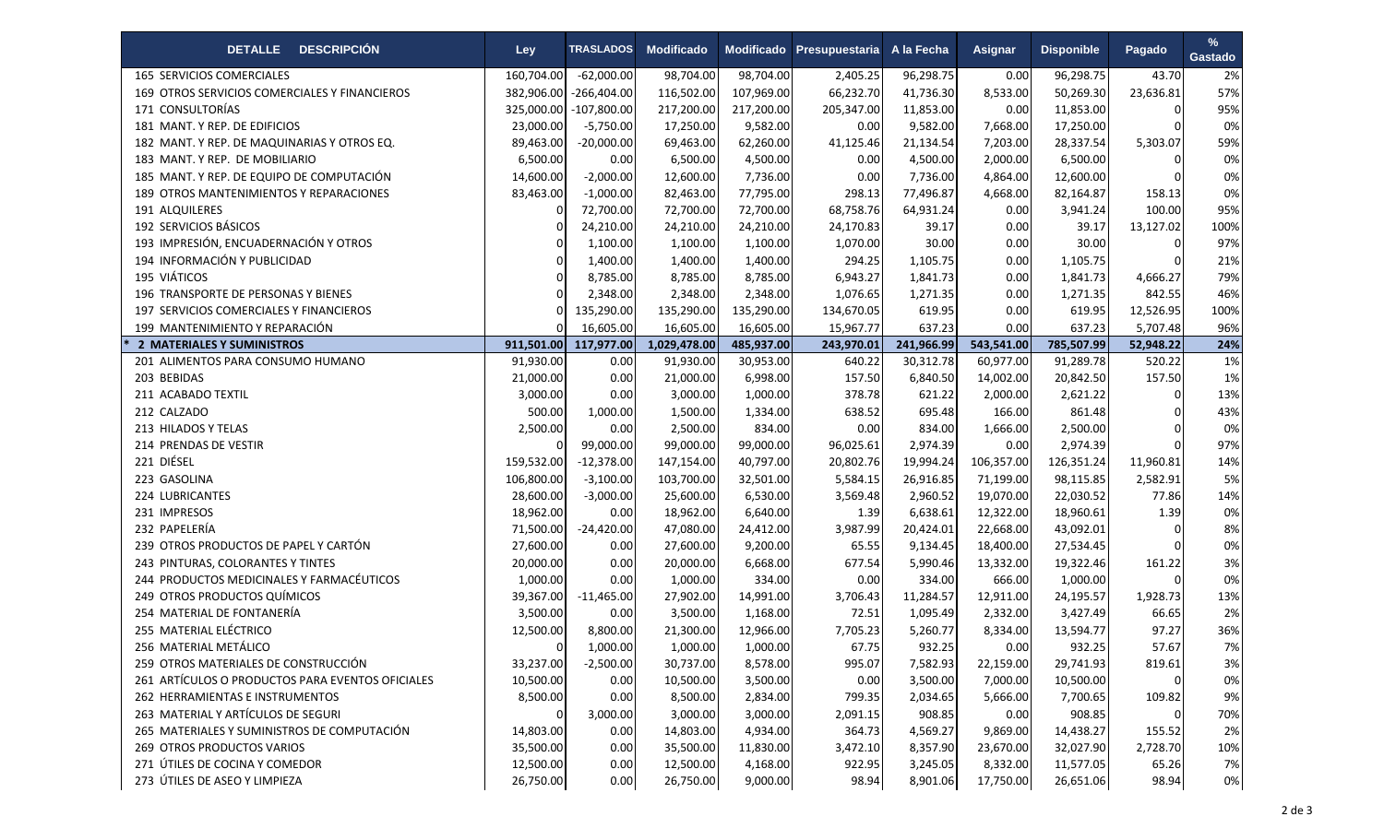| <b>DESCRIPCIÓN</b><br><b>DETALLE</b>             | Ley        | <b>TRASLADOS</b> | <b>Modificado</b> | Modificado | Presupuestaria | A la Fecha | <b>Asignar</b> | <b>Disponible</b> | Pagado    | %<br><b>Gastado</b> |
|--------------------------------------------------|------------|------------------|-------------------|------------|----------------|------------|----------------|-------------------|-----------|---------------------|
| 165 SERVICIOS COMERCIALES                        | 160,704.00 | $-62,000.00$     | 98,704.00         | 98,704.00  | 2,405.25       | 96,298.75  | 0.00           | 96,298.75         | 43.70     | 2%                  |
| 169 OTROS SERVICIOS COMERCIALES Y FINANCIEROS    | 382,906.00 | $-266,404.00$    | 116,502.00        | 107,969.00 | 66,232.70      | 41,736.30  | 8,533.00       | 50,269.30         | 23,636.81 | 57%                 |
| 171 CONSULTORÍAS                                 | 325,000.00 | $-107,800.00$    | 217,200.00        | 217,200.00 | 205,347.00     | 11,853.00  | 0.00           | 11,853.00         | 0         | 95%                 |
| 181 MANT. Y REP. DE EDIFICIOS                    | 23,000.00  | $-5,750.00$      | 17,250.00         | 9,582.00   | 0.00           | 9,582.00   | 7,668.00       | 17,250.00         |           | 0%                  |
| 182 MANT. Y REP. DE MAQUINARIAS Y OTROS EQ.      | 89,463.00  | $-20,000.00$     | 69,463.00         | 62,260.00  | 41,125.46      | 21,134.54  | 7,203.00       | 28,337.54         | 5,303.07  | 59%                 |
| 183 MANT. Y REP. DE MOBILIARIO                   | 6,500.00   | 0.00             | 6,500.00          | 4,500.00   | 0.00           | 4,500.00   | 2,000.00       | 6,500.00          | $\Omega$  | 0%                  |
| 185 MANT. Y REP. DE EQUIPO DE COMPUTACIÓN        | 14,600.00  | $-2,000.00$      | 12,600.00         | 7,736.00   | 0.00           | 7,736.00   | 4,864.00       | 12,600.00         |           | 0%                  |
| 189 OTROS MANTENIMIENTOS Y REPARACIONES          | 83,463.00  | $-1,000.00$      | 82,463.00         | 77,795.00  | 298.13         | 77,496.87  | 4,668.00       | 82,164.87         | 158.13    | 0%                  |
| 191 ALQUILERES                                   |            | 72,700.00        | 72,700.00         | 72,700.00  | 68,758.76      | 64,931.24  | 0.00           | 3,941.24          | 100.00    | 95%                 |
| 192 SERVICIOS BÁSICOS                            |            | 24,210.00        | 24,210.00         | 24,210.00  | 24,170.83      | 39.17      | 0.00           | 39.17             | 13,127.02 | 100%                |
| 193 IMPRESIÓN, ENCUADERNACIÓN Y OTROS            |            | 1,100.00         | 1,100.00          | 1,100.00   | 1,070.00       | 30.00      | 0.00           | 30.00             |           | 97%                 |
| 194 INFORMACIÓN Y PUBLICIDAD                     | $\Omega$   | 1,400.00         | 1,400.00          | 1,400.00   | 294.25         | 1,105.75   | 0.00           | 1,105.75          |           | 21%                 |
| 195 VIÁTICOS                                     | $\Omega$   | 8,785.00         | 8,785.00          | 8,785.00   | 6,943.27       | 1,841.73   | 0.00           | 1,841.73          | 4,666.27  | 79%                 |
| 196 TRANSPORTE DE PERSONAS Y BIENES              |            | 2,348.00         | 2,348.00          | 2,348.00   | 1,076.65       | 1,271.35   | 0.00           | 1,271.35          | 842.55    | 46%                 |
| 197 SERVICIOS COMERCIALES Y FINANCIEROS          |            | 135,290.00       | 135,290.00        | 135,290.00 | 134,670.05     | 619.95     | 0.00           | 619.95            | 12,526.95 | 100%                |
| 199 MANTENIMIENTO Y REPARACIÓN                   |            | 16,605.00        | 16,605.00         | 16,605.00  | 15,967.77      | 637.23     | 0.00           | 637.23            | 5,707.48  | 96%                 |
| 2 MATERIALES Y SUMINISTROS                       | 911,501.00 | 117,977.00       | 1,029,478.00      | 485,937.00 | 243,970.01     | 241,966.99 | 543,541.00     | 785,507.99        | 52,948.22 | 24%                 |
| 201 ALIMENTOS PARA CONSUMO HUMANO                | 91,930.00  | 0.00             | 91,930.00         | 30,953.00  | 640.22         | 30,312.78  | 60,977.00      | 91,289.78         | 520.22    | 1%                  |
| 203 BEBIDAS                                      | 21,000.00  | 0.00             | 21,000.00         | 6,998.00   | 157.50         | 6,840.50   | 14,002.00      | 20,842.50         | 157.50    | 1%                  |
| 211 ACABADO TEXTIL                               | 3,000.00   | 0.00             | 3,000.00          | 1,000.00   | 378.78         | 621.22     | 2,000.00       | 2,621.22          | $\Omega$  | 13%                 |
| 212 CALZADO                                      | 500.00     | 1,000.00         | 1,500.00          | 1,334.00   | 638.52         | 695.48     | 166.00         | 861.48            |           | 43%                 |
| 213 HILADOS Y TELAS                              | 2,500.00   | 0.00             | 2,500.00          | 834.00     | 0.00           | 834.00     | 1,666.00       | 2,500.00          |           | 0%                  |
| 214 PRENDAS DE VESTIR                            |            | 99,000.00        | 99,000.00         | 99,000.00  | 96,025.61      | 2,974.39   | 0.00           | 2,974.39          |           | 97%                 |
| 221 DIÉSEL                                       | 159,532.00 | $-12,378.00$     | 147,154.00        | 40,797.00  | 20,802.76      | 19,994.24  | 106,357.00     | 126,351.24        | 11,960.81 | 14%                 |
| 223 GASOLINA                                     | 106,800.00 | $-3,100.00$      | 103,700.00        | 32,501.00  | 5,584.15       | 26,916.85  | 71,199.00      | 98,115.85         | 2,582.91  | 5%                  |
| 224 LUBRICANTES                                  | 28,600.00  | $-3,000.00$      | 25,600.00         | 6,530.00   | 3,569.48       | 2,960.52   | 19,070.00      | 22,030.52         | 77.86     | 14%                 |
| 231 IMPRESOS                                     | 18,962.00  | 0.00             | 18,962.00         | 6,640.00   | 1.39           | 6,638.61   | 12,322.00      | 18,960.61         | 1.39      | 0%                  |
| 232 PAPELERÍA                                    | 71,500.00  | $-24,420.00$     | 47,080.00         | 24,412.00  | 3,987.99       | 20,424.01  | 22,668.00      | 43,092.01         | ∩         | 8%                  |
| 239 OTROS PRODUCTOS DE PAPEL Y CARTÓN            | 27,600.00  | 0.00             | 27,600.00         | 9,200.00   | 65.55          | 9,134.45   | 18,400.00      | 27,534.45         |           | 0%                  |
| 243 PINTURAS, COLORANTES Y TINTES                | 20,000.00  | 0.00             | 20,000.00         | 6,668.00   | 677.54         | 5,990.46   | 13,332.00      | 19,322.46         | 161.22    | 3%                  |
| 244 PRODUCTOS MEDICINALES Y FARMACÉUTICOS        | 1,000.00   | 0.00             | 1,000.00          | 334.00     | 0.00           | 334.00     | 666.00         | 1,000.00          | $\Omega$  | 0%                  |
| 249 OTROS PRODUCTOS QUÍMICOS                     | 39,367.00  | $-11,465.00$     | 27,902.00         | 14,991.00  | 3,706.43       | 11,284.57  | 12,911.00      | 24,195.57         | 1,928.73  | 13%                 |
| 254 MATERIAL DE FONTANERÍA                       | 3,500.00   | 0.00             | 3,500.00          | 1,168.00   | 72.51          | 1,095.49   | 2,332.00       | 3,427.49          | 66.65     | 2%                  |
| 255 MATERIAL ELÉCTRICO                           | 12,500.00  | 8,800.00         | 21,300.00         | 12,966.00  | 7,705.23       | 5,260.77   | 8,334.00       | 13,594.77         | 97.27     | 36%                 |
| 256 MATERIAL METÁLICO                            | 0          | 1,000.00         | 1,000.00          | 1,000.00   | 67.75          | 932.25     | 0.00           | 932.25            | 57.67     | 7%                  |
| 259 OTROS MATERIALES DE CONSTRUCCIÓN             | 33,237.00  | $-2,500.00$      | 30,737.00         | 8,578.00   | 995.07         | 7,582.93   | 22,159.00      | 29,741.93         | 819.61    | 3%                  |
| 261 ARTÍCULOS O PRODUCTOS PARA EVENTOS OFICIALES | 10,500.00  | 0.00             | 10,500.00         | 3,500.00   | 0.00           | 3,500.00   | 7,000.00       | 10,500.00         |           | 0%                  |
| 262 HERRAMIENTAS E INSTRUMENTOS                  | 8,500.00   | 0.00             | 8,500.00          | 2,834.00   | 799.35         | 2,034.65   | 5,666.00       | 7,700.65          | 109.82    | 9%                  |
| 263 MATERIAL Y ARTÍCULOS DE SEGURI               | 0          | 3,000.00         | 3,000.00          | 3,000.00   | 2,091.15       | 908.85     | 0.00           | 908.85            | 0         | 70%                 |
| 265 MATERIALES Y SUMINISTROS DE COMPUTACIÓN      | 14,803.00  | 0.00             | 14,803.00         | 4,934.00   | 364.73         | 4,569.27   | 9,869.00       | 14,438.27         | 155.52    | 2%                  |
| <b>269 OTROS PRODUCTOS VARIOS</b>                | 35,500.00  | 0.00             | 35,500.00         | 11,830.00  | 3,472.10       | 8,357.90   | 23,670.00      | 32,027.90         | 2,728.70  | 10%                 |
| 271 ÚTILES DE COCINA Y COMEDOR                   | 12,500.00  | 0.00             | 12,500.00         | 4,168.00   | 922.95         | 3,245.05   | 8,332.00       | 11,577.05         | 65.26     | 7%                  |
| 273 ÚTILES DE ASEO Y LIMPIEZA                    | 26,750.00  | 0.00             | 26,750.00         | 9,000.00   | 98.94          | 8,901.06   | 17,750.00      | 26,651.06         | 98.94     | 0%                  |